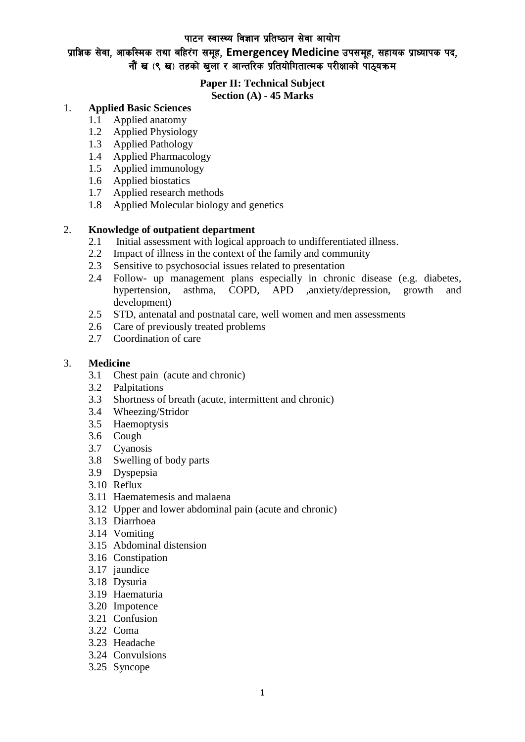### प्राज्ञिक सेवा, आकस्मिक तथा बहिरंग समूह, Emergencey Medicine उपसमूह, सहायक प्राध्यापक पद, नौं ख $($ ९ ख) तहको खला र आन्तरिक प्रतियोगितात्मक परीक्षाको पाठयक्रम

# **Paper II: Technical Subject**

### **Section (A) - 45 Marks**

#### 1. **Applied Basic Sciences**

- 1.1 Applied anatomy
- 1.2 Applied Physiology
- 1.3 Applied Pathology
- 1.4 Applied Pharmacology
- 1.5 Applied immunology
- 1.6 Applied biostatics
- 1.7 Applied research methods
- 1.8 Applied Molecular biology and genetics

#### 2. **Knowledge of outpatient department**

- 2.1 Initial assessment with logical approach to undifferentiated illness.
- 2.2 Impact of illness in the context of the family and community
- 2.3 Sensitive to psychosocial issues related to presentation
- 2.4 Follow- up management plans especially in chronic disease (e.g. diabetes, hypertension, asthma, COPD, APD ,anxiety/depression, growth and development)
- 2.5 STD, antenatal and postnatal care, well women and men assessments
- 2.6 Care of previously treated problems
- 2.7 Coordination of care

#### 3. **Medicine**

- 3.1 Chest pain (acute and chronic)
- 3.2 Palpitations
- 3.3 Shortness of breath (acute, intermittent and chronic)<br>3.4 Wheezing/Stridor
- 3.4 Wheezing/Stridor
- 3.5 Haemoptysis
- 3.6 Cough
- 3.7 Cyanosis
- 3.8 Swelling of body parts
- 3.9 Dyspepsia
- 3.10 Reflux
- 3.11 Haematemesis and malaena
- 3.12 Upper and lower abdominal pain (acute and chronic)
- 3.13 Diarrhoea
- 3.14 Vomiting
- 3.15 Abdominal distension
- 3.16 Constipation
- 3.17 jaundice
- 3.18 Dysuria
- 3.19 Haematuria
- 3.20 Impotence
- 3.21 Confusion
- 3.22 Coma
- 3.23 Headache
- 3.24 Convulsions
- 3.25 Syncope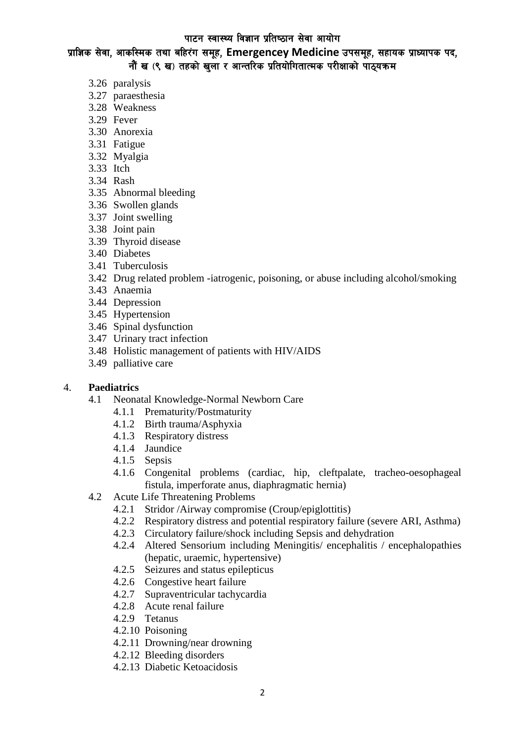प्राज्ञिक सेवा, आकस्मिक तथा बहिरंग समूह, Emergencey Medicine उपसमूह, सहायक प्राध्यापक पद, नौं ख (९ ख) तहको खला र आन्तरिक प्रतियोगितात्मक परीक्षाको पाठयक्रम

- 3.26 paralysis
- 3.27 paraesthesia
- 3.28 Weakness
- 3.29 Fever
- 3.30 Anorexia
- 3.31 Fatigue
- 3.32 Myalgia
- 3.33 Itch
- 3.34 Rash
- 3.35 Abnormal bleeding
- 3.36 Swollen glands
- 3.37 Joint swelling
- 3.38 Joint pain
- 3.39 Thyroid disease
- 3.40 Diabetes
- 3.41 Tuberculosis
- 3.42 Drug related problem -iatrogenic, poisoning, or abuse including alcohol/smoking
- 3.43 Anaemia
- 3.44 Depression
- 3.45 Hypertension
- 3.46 Spinal dysfunction
- 3.47 Urinary tract infection
- 3.48 Holistic management of patients with HIV/AIDS
- 3.49 palliative care

#### 4. **Paediatrics**

- 4.1 Neonatal Knowledge-Normal Newborn Care
	- 4.1.1 Prematurity/Postmaturity
	- 4.1.2 Birth trauma/Asphyxia
	- 4.1.3 Respiratory distress
	- 4.1.4 Jaundice
	- 4.1.5 Sepsis
	- 4.1.6 Congenital problems (cardiac, hip, cleftpalate, tracheo-oesophageal fistula, imperforate anus, diaphragmatic hernia)
- 4.2 Acute Life Threatening Problems
	- 4.2.1 Stridor /Airway compromise (Croup/epiglottitis)
	- 4.2.2 Respiratory distress and potential respiratory failure (severe ARI, Asthma)
	- 4.2.3 Circulatory failure/shock including Sepsis and dehydration
	- 4.2.4 Altered Sensorium including Meningitis/ encephalitis / encephalopathies (hepatic, uraemic, hypertensive)
	- 4.2.5 Seizures and status epilepticus
	- 4.2.6 Congestive heart failure
	- 4.2.7 Supraventricular tachycardia
	- 4.2.8 Acute renal failure
	- 4.2.9 Tetanus
	- 4.2.10 Poisoning
	- 4.2.11 Drowning/near drowning
	- 4.2.12 Bleeding disorders
	- 4.2.13 Diabetic Ketoacidosis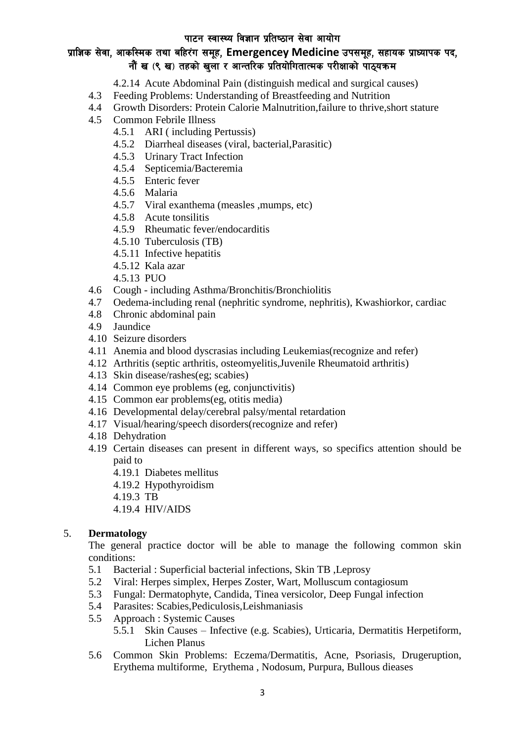# प्राज्ञिक सेवा, आकस्मिक तथा बहिरंग समूह, Emergencey Medicine उपसमूह, सहायक प्राध्यापक पद, नौं ख (९ ख) तहको खला र आन्तरिक प्रतियोगितात्मक परीक्षाको पाठयक्रम

- 4.2.14 Acute Abdominal Pain (distinguish medical and surgical causes)
- 4.3 Feeding Problems: Understanding of Breastfeeding and Nutrition
- 4.4 Growth Disorders: Protein Calorie Malnutrition,failure to thrive,short stature
- 4.5 Common Febrile Illness
	- 4.5.1 ARI ( including Pertussis)
	- 4.5.2 Diarrheal diseases (viral, bacterial,Parasitic)
	- 4.5.3 Urinary Tract Infection
	- 4.5.4 Septicemia/Bacteremia
	- 4.5.5 Enteric fever
	- 4.5.6 Malaria
	- 4.5.7 Viral exanthema (measles ,mumps, etc)
	- 4.5.8 Acute tonsilitis
	- 4.5.9 Rheumatic fever/endocarditis
	- 4.5.10 Tuberculosis (TB)
	- 4.5.11 Infective hepatitis
	- 4.5.12 Kala azar
	- 4.5.13 PUO
- 4.6 Cough including Asthma/Bronchitis/Bronchiolitis
- 4.7 Oedema-including renal (nephritic syndrome, nephritis), Kwashiorkor, cardiac
- 4.8 Chronic abdominal pain
- 4.9 Jaundice
- 4.10 Seizure disorders
- 4.11 Anemia and blood dyscrasias including Leukemias(recognize and refer)
- 4.12 Arthritis (septic arthritis, osteomyelitis,Juvenile Rheumatoid arthritis)
- 4.13 Skin disease/rashes(eg; scabies)
- 4.14 Common eye problems (eg, conjunctivitis)
- 4.15 Common ear problems(eg, otitis media)
- 4.16 Developmental delay/cerebral palsy/mental retardation
- 4.17 Visual/hearing/speech disorders(recognize and refer)
- 4.18 Dehydration
- 4.19 Certain diseases can present in different ways, so specifics attention should be paid to
	- 4.19.1 Diabetes mellitus
	- 4.19.2 Hypothyroidism
	- 4.19.3 TB
	- 4.19.4 HIV/AIDS

#### 5. **Dermatology**

The general practice doctor will be able to manage the following common skin conditions:

- 5.1 Bacterial : Superficial bacterial infections, Skin TB ,Leprosy
- 5.2 Viral: Herpes simplex, Herpes Zoster, Wart, Molluscum contagiosum
- 5.3 Fungal: Dermatophyte, Candida, Tinea versicolor, Deep Fungal infection
- 5.4 Parasites: Scabies,Pediculosis,Leishmaniasis
- 5.5 Approach : Systemic Causes
	- 5.5.1 Skin Causes Infective (e.g. Scabies), Urticaria, Dermatitis Herpetiform, Lichen Planus
- 5.6 Common Skin Problems: Eczema/Dermatitis, Acne, Psoriasis, Drugeruption, Erythema multiforme, Erythema , Nodosum, Purpura, Bullous dieases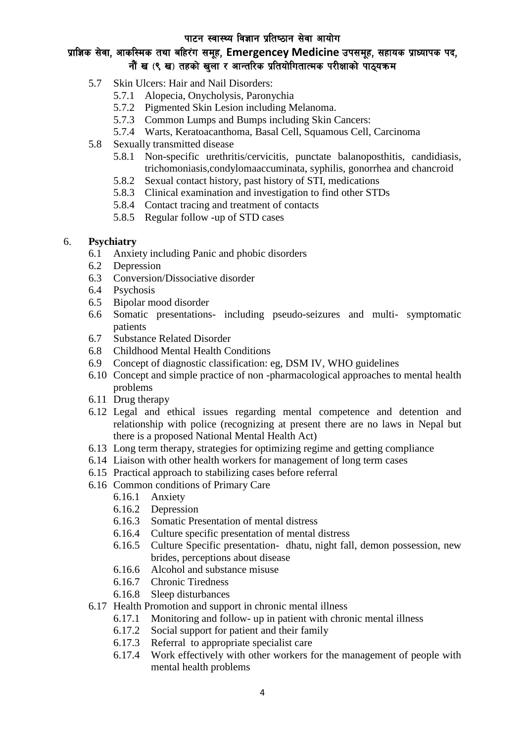# प्राज्ञिक सेवा, आकस्मिक तथा बहिरंग समूह, Emergencey Medicine उपसमूह, सहायक प्राध्यापक पद, नौं ख (९ ख) तहको खला र आन्तरिक प्रतियोगितात्मक परीक्षाको पाठयक्रम

- 5.7 Skin Ulcers: Hair and Nail Disorders:
	- 5.7.1 Alopecia, Onycholysis, Paronychia
	- 5.7.2 Pigmented Skin Lesion including Melanoma.
	- 5.7.3 Common Lumps and Bumps including Skin Cancers:
	- 5.7.4 Warts, Keratoacanthoma, Basal Cell, Squamous Cell, Carcinoma
- 5.8 Sexually transmitted disease
	- 5.8.1 Non-specific urethritis/cervicitis, punctate balanoposthitis, candidiasis, trichomoniasis,condylomaaccuminata, syphilis, gonorrhea and chancroid
	- 5.8.2 Sexual contact history, past history of STI, medications
	- 5.8.3 Clinical examination and investigation to find other STDs
	- 5.8.4 Contact tracing and treatment of contacts
	- 5.8.5 Regular follow -up of STD cases

#### 6. **Psychiatry**

- 6.1 Anxiety including Panic and phobic disorders
- 6.2 Depression
- 6.3 Conversion/Dissociative disorder
- 6.4 Psychosis
- 6.5 Bipolar mood disorder
- 6.6 Somatic presentations- including pseudo-seizures and multi- symptomatic patients
- 6.7 Substance Related Disorder
- 6.8 Childhood Mental Health Conditions
- 6.9 Concept of diagnostic classification: eg, DSM IV, WHO guidelines
- 6.10 Concept and simple practice of non -pharmacological approaches to mental health problems
- 6.11 Drug therapy
- 6.12 Legal and ethical issues regarding mental competence and detention and relationship with police (recognizing at present there are no laws in Nepal but there is a proposed National Mental Health Act)
- 6.13 Long term therapy, strategies for optimizing regime and getting compliance
- 6.14 Liaison with other health workers for management of long term cases
- 6.15 Practical approach to stabilizing cases before referral
- 6.16 Common conditions of Primary Care
	- 6.16.1 Anxiety
	- 6.16.2 Depression
	- 6.16.3 Somatic Presentation of mental distress
	- 6.16.4 Culture specific presentation of mental distress
	- 6.16.5 Culture Specific presentation- dhatu, night fall, demon possession, new brides, perceptions about disease
	- 6.16.6 Alcohol and substance misuse
	- 6.16.7 Chronic Tiredness
	- 6.16.8 Sleep disturbances
- 6.17 Health Promotion and support in chronic mental illness
	- 6.17.1 Monitoring and follow- up in patient with chronic mental illness
	- 6.17.2 Social support for patient and their family
	- 6.17.3 Referral to appropriate specialist care
	- 6.17.4 Work effectively with other workers for the management of people with mental health problems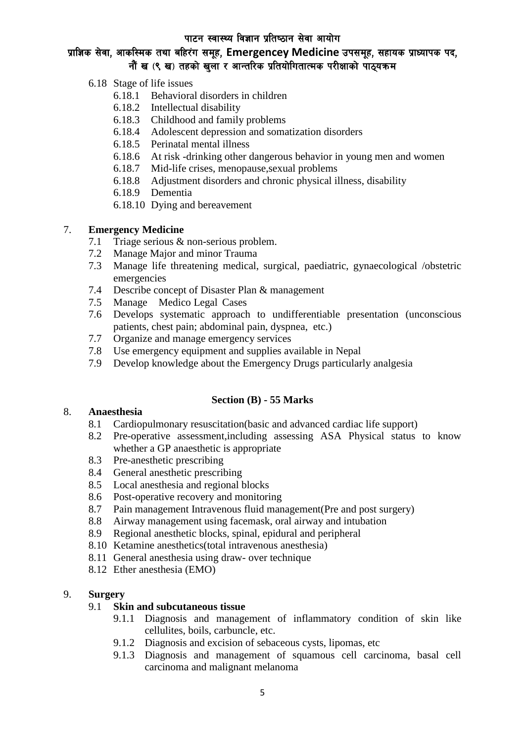### प्राज्ञिक सेवा, आकस्मिक तथा बहिरंग समूह, Emergencey Medicine उपसमूह, सहायक प्राध्यापक पद, नौं ख $($ ९ ख) तहको खला र आन्तरिक प्रतियोगितात्मक परीक्षाको पाठयक्रम

- 6.18 Stage of life issues
	- 6.18.1 Behavioral disorders in children
	- 6.18.2 Intellectual disability
	- 6.18.3 Childhood and family problems
	- 6.18.4 Adolescent depression and somatization disorders
	- 6.18.5 Perinatal mental illness
	- 6.18.6 At risk -drinking other dangerous behavior in young men and women
	- 6.18.7 Mid-life crises, menopause,sexual problems
	- 6.18.8 Adjustment disorders and chronic physical illness, disability
	- 6.18.9 Dementia
	- 6.18.10 Dying and bereavement

#### 7. **Emergency Medicine**

- 7.1 Triage serious & non-serious problem.
- 7.2 Manage Major and minor Trauma
- 7.3 Manage life threatening medical, surgical, paediatric, gynaecological /obstetric emergencies
- 7.4 Describe concept of Disaster Plan & management
- 7.5 Manage Medico Legal Cases
- 7.6 Develops systematic approach to undifferentiable presentation (unconscious patients, chest pain; abdominal pain, dyspnea, etc.)
- 7.7 Organize and manage emergency services
- 7.8 Use emergency equipment and supplies available in Nepal
- 7.9 Develop knowledge about the Emergency Drugs particularly analgesia

#### **Section (B) - 55 Marks**

#### 8. **Anaesthesia**

- 8.1 Cardiopulmonary resuscitation(basic and advanced cardiac life support)
- 8.2 Pre-operative assessment,including assessing ASA Physical status to know whether a GP anaesthetic is appropriate
- 8.3 Pre-anesthetic prescribing
- 8.4 General anesthetic prescribing
- 8.5 Local anesthesia and regional blocks
- 8.6 Post-operative recovery and monitoring
- 8.7 Pain management Intravenous fluid management(Pre and post surgery)
- 8.8 Airway management using facemask, oral airway and intubation
- 8.9 Regional anesthetic blocks, spinal, epidural and peripheral
- 8.10 Ketamine anesthetics(total intravenous anesthesia)
- 8.11 General anesthesia using draw- over technique
- 8.12 Ether anesthesia (EMO)

#### 9. **Surgery**

#### 9.1 **Skin and subcutaneous tissue**

- 9.1.1 Diagnosis and management of inflammatory condition of skin like cellulites, boils, carbuncle, etc.
- 9.1.2 Diagnosis and excision of sebaceous cysts, lipomas, etc
- 9.1.3 Diagnosis and management of squamous cell carcinoma, basal cell carcinoma and malignant melanoma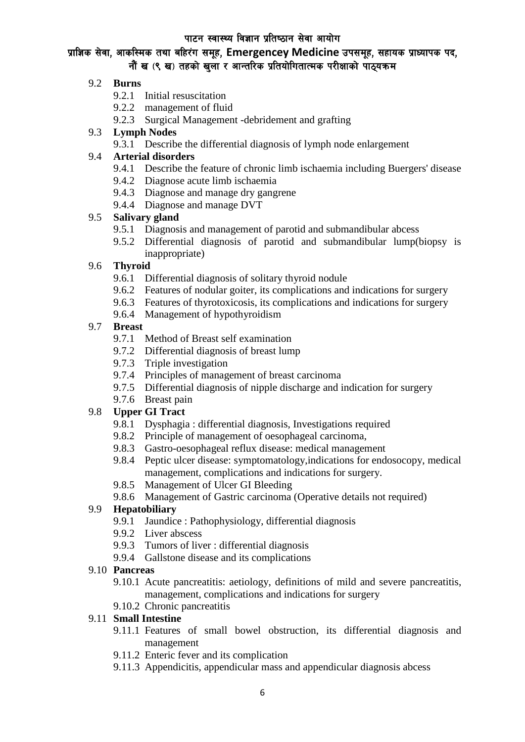### प्राज्ञिक सेवा, आकस्मिक तथा बहिरंग समूह, Emergencey Medicine उपसमूह, सहायक प्राध्यापक पद, नौं ख $($ ९ ख) तहको खला र आन्तरिक प्रतियोगितात्मक परीक्षाको पाठयक्रम

#### 9.2 **Burns**

- 9.2.1 Initial resuscitation
- 9.2.2 management of fluid
- 9.2.3 Surgical Management -debridement and grafting

#### 9.3 **Lymph Nodes**

9.3.1 Describe the differential diagnosis of lymph node enlargement

#### 9.4 **Arterial disorders**

- 9.4.1 Describe the feature of chronic limb ischaemia including Buergers' disease
- 9.4.2 Diagnose acute limb ischaemia
- 9.4.3 Diagnose and manage dry gangrene
- 9.4.4 Diagnose and manage DVT

### 9.5 **Salivary gland**

- 9.5.1 Diagnosis and management of parotid and submandibular abcess
- 9.5.2 Differential diagnosis of parotid and submandibular lump(biopsy is inappropriate)

### 9.6 **Thyroid**

- 9.6.1 Differential diagnosis of solitary thyroid nodule
- 9.6.2 Features of nodular goiter, its complications and indications for surgery
- 9.6.3 Features of thyrotoxicosis, its complications and indications for surgery
- 9.6.4 Management of hypothyroidism

#### 9.7 **Breast**

- 9.7.1 Method of Breast self examination
- 9.7.2 Differential diagnosis of breast lump
- 9.7.3 Triple investigation
- 9.7.4 Principles of management of breast carcinoma
- 9.7.5 Differential diagnosis of nipple discharge and indication for surgery
- 9.7.6 Breast pain

#### 9.8 **Upper GI Tract**

- 9.8.1 Dysphagia : differential diagnosis, Investigations required
- 9.8.2 Principle of management of oesophageal carcinoma,
- 9.8.3 Gastro-oesophageal reflux disease: medical management
- 9.8.4 Peptic ulcer disease: symptomatology,indications for endosocopy, medical management, complications and indications for surgery.
- 9.8.5 Management of Ulcer GI Bleeding
- 9.8.6 Management of Gastric carcinoma (Operative details not required)

#### 9.9 **Hepatobiliary**

- 9.9.1 Jaundice : Pathophysiology, differential diagnosis
- 9.9.2 Liver abscess
- 9.9.3 Tumors of liver : differential diagnosis
- 9.9.4 Gallstone disease and its complications

#### 9.10 **Pancreas**

9.10.1 Acute pancreatitis: aetiology, definitions of mild and severe pancreatitis, management, complications and indications for surgery

#### 9.10.2 Chronic pancreatitis

#### 9.11 **Small Intestine**

- 9.11.1 Features of small bowel obstruction, its differential diagnosis and management
- 9.11.2 Enteric fever and its complication
- 9.11.3 Appendicitis, appendicular mass and appendicular diagnosis abcess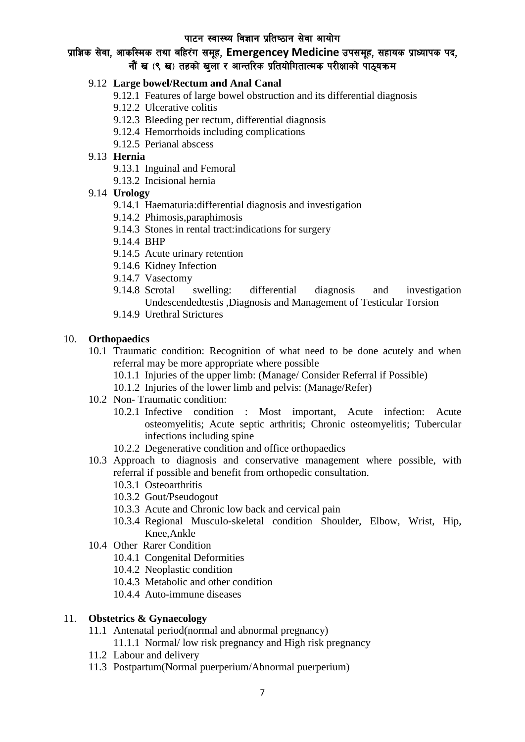# प्राज्ञिक सेवा, आकस्मिक तथा बहिरंग समूह, Emergencey Medicine उपसमूह, सहायक प्राध्यापक पद, नौं ख (९ ख) तहको खला र आन्तरिक प्रतियोगितात्मक परीक्षाको पाठयक्रम

#### 9.12 **Large bowel/Rectum and Anal Canal**

- 9.12.1 Features of large bowel obstruction and its differential diagnosis
- 9.12.2 Ulcerative colitis
- 9.12.3 Bleeding per rectum, differential diagnosis
- 9.12.4 Hemorrhoids including complications
- 9.12.5 Perianal abscess

#### 9.13 **Hernia**

- 9.13.1 Inguinal and Femoral
- 9.13.2 Incisional hernia

#### 9.14 **Urology**

- 9.14.1 Haematuria:differential diagnosis and investigation
- 9.14.2 Phimosis,paraphimosis
- 9.14.3 Stones in rental tract:indications for surgery
- 9.14.4 BHP
- 9.14.5 Acute urinary retention
- 9.14.6 Kidney Infection
- 9.14.7 Vasectomy
- 9.14.8 Scrotal swelling: differential diagnosis and investigation Undescendedtestis ,Diagnosis and Management of Testicular Torsion
- 9.14.9 Urethral Strictures

#### 10. **Orthopaedics**

- 10.1 Traumatic condition: Recognition of what need to be done acutely and when referral may be more appropriate where possible
	- 10.1.1 Injuries of the upper limb: (Manage/ Consider Referral if Possible)
	- 10.1.2 Injuries of the lower limb and pelvis: (Manage/Refer)
- 10.2 Non- Traumatic condition:
	- 10.2.1 Infective condition : Most important, Acute infection: Acute osteomyelitis; Acute septic arthritis; Chronic osteomyelitis; Tubercular infections including spine
	- 10.2.2 Degenerative condition and office orthopaedics
- 10.3 Approach to diagnosis and conservative management where possible, with referral if possible and benefit from orthopedic consultation.
	- 10.3.1 Osteoarthritis
	- 10.3.2 Gout/Pseudogout
	- 10.3.3 Acute and Chronic low back and cervical pain
	- 10.3.4 Regional Musculo-skeletal condition Shoulder, Elbow, Wrist, Hip, Knee,Ankle
- 10.4 Other Rarer Condition
	- 10.4.1 Congenital Deformities
	- 10.4.2 Neoplastic condition
	- 10.4.3 Metabolic and other condition
	- 10.4.4 Auto-immune diseases

#### 11. **Obstetrics & Gynaecology**

- 11.1 Antenatal period(normal and abnormal pregnancy) 11.1.1 Normal/ low risk pregnancy and High risk pregnancy
- 11.2 Labour and delivery
- 11.3 Postpartum(Normal puerperium/Abnormal puerperium)